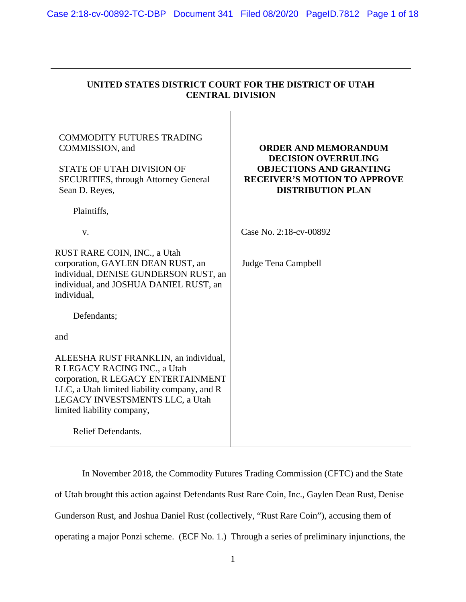| UNITED STATES DISTRICT COURT FOR THE DISTRICT OF UTAH<br><b>CENTRAL DIVISION</b>                                                                                                                                              |                                                                                                                                                                |  |
|-------------------------------------------------------------------------------------------------------------------------------------------------------------------------------------------------------------------------------|----------------------------------------------------------------------------------------------------------------------------------------------------------------|--|
| <b>COMMODITY FUTURES TRADING</b><br>COMMISSION, and<br>STATE OF UTAH DIVISION OF<br><b>SECURITIES, through Attorney General</b><br>Sean D. Reyes,<br>Plaintiffs,                                                              | <b>ORDER AND MEMORANDUM</b><br><b>DECISION OVERRULING</b><br><b>OBJECTIONS AND GRANTING</b><br><b>RECEIVER'S MOTION TO APPROVE</b><br><b>DISTRIBUTION PLAN</b> |  |
| V.                                                                                                                                                                                                                            | Case No. 2:18-cv-00892                                                                                                                                         |  |
| RUST RARE COIN, INC., a Utah<br>corporation, GAYLEN DEAN RUST, an<br>individual, DENISE GUNDERSON RUST, an<br>individual, and JOSHUA DANIEL RUST, an<br>individual,                                                           | Judge Tena Campbell                                                                                                                                            |  |
| Defendants;                                                                                                                                                                                                                   |                                                                                                                                                                |  |
| and                                                                                                                                                                                                                           |                                                                                                                                                                |  |
| ALEESHA RUST FRANKLIN, an individual,<br>R LEGACY RACING INC., a Utah<br>corporation, R LEGACY ENTERTAINMENT<br>LLC, a Utah limited liability company, and R<br>LEGACY INVESTSMENTS LLC, a Utah<br>limited liability company, |                                                                                                                                                                |  |
| Relief Defendants.                                                                                                                                                                                                            |                                                                                                                                                                |  |

 In November 2018, the Commodity Futures Trading Commission (CFTC) and the State of Utah brought this action against Defendants Rust Rare Coin, Inc., Gaylen Dean Rust, Denise Gunderson Rust, and Joshua Daniel Rust (collectively, "Rust Rare Coin"), accusing them of operating a major Ponzi scheme. (ECF No. 1.) Through a series of preliminary injunctions, the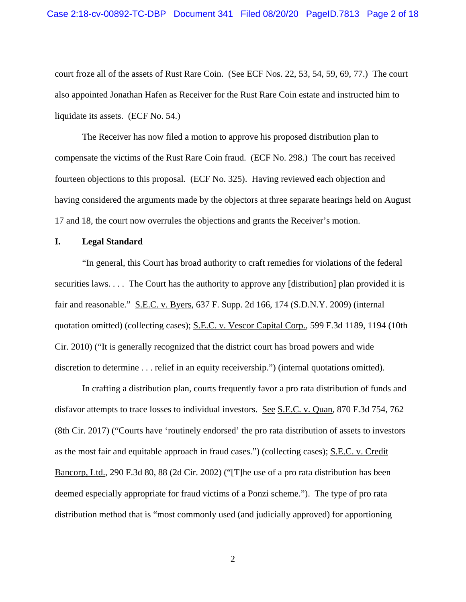court froze all of the assets of Rust Rare Coin. (See ECF Nos. 22, 53, 54, 59, 69, 77.) The court also appointed Jonathan Hafen as Receiver for the Rust Rare Coin estate and instructed him to liquidate its assets. (ECF No. 54.)

 The Receiver has now filed a motion to approve his proposed distribution plan to compensate the victims of the Rust Rare Coin fraud. (ECF No. 298.) The court has received fourteen objections to this proposal. (ECF No. 325). Having reviewed each objection and having considered the arguments made by the objectors at three separate hearings held on August 17 and 18, the court now overrules the objections and grants the Receiver's motion.

### **I. Legal Standard**

"In general, this Court has broad authority to craft remedies for violations of the federal securities laws. . . . The Court has the authority to approve any [distribution] plan provided it is fair and reasonable." S.E.C. v. Byers, 637 F. Supp. 2d 166, 174 (S.D.N.Y. 2009) (internal quotation omitted) (collecting cases); S.E.C. v. Vescor Capital Corp., 599 F.3d 1189, 1194 (10th Cir. 2010) ("It is generally recognized that the district court has broad powers and wide discretion to determine . . . relief in an equity receivership.") (internal quotations omitted).

 In crafting a distribution plan, courts frequently favor a pro rata distribution of funds and disfavor attempts to trace losses to individual investors. See S.E.C. v. Quan, 870 F.3d 754, 762 (8th Cir. 2017) ("Courts have 'routinely endorsed' the pro rata distribution of assets to investors as the most fair and equitable approach in fraud cases.") (collecting cases); S.E.C. v. Credit Bancorp, Ltd., 290 F.3d 80, 88 (2d Cir. 2002) ("[T]he use of a pro rata distribution has been deemed especially appropriate for fraud victims of a Ponzi scheme."). The type of pro rata distribution method that is "most commonly used (and judicially approved) for apportioning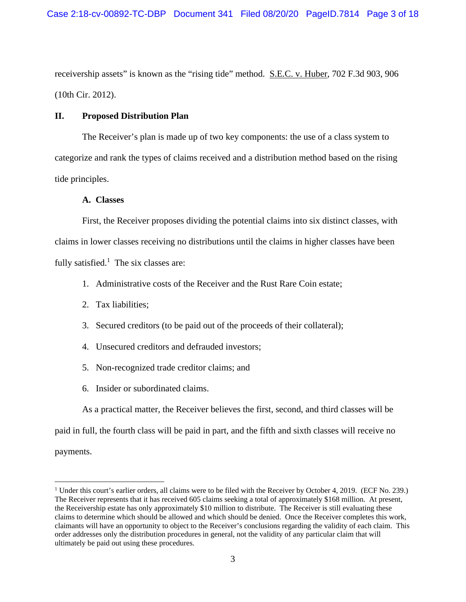receivership assets" is known as the "rising tide" method. S.E.C. v. Huber, 702 F.3d 903, 906 (10th Cir. 2012).

# **II. Proposed Distribution Plan**

 The Receiver's plan is made up of two key components: the use of a class system to categorize and rank the types of claims received and a distribution method based on the rising tide principles.

# **A. Classes**

 First, the Receiver proposes dividing the potential claims into six distinct classes, with claims in lower classes receiving no distributions until the claims in higher classes have been fully satisfied.<sup>1</sup> The six classes are:

- 1. Administrative costs of the Receiver and the Rust Rare Coin estate;
- 2. Tax liabilities;
- 3. Secured creditors (to be paid out of the proceeds of their collateral);
- 4. Unsecured creditors and defrauded investors;
- 5. Non-recognized trade creditor claims; and
- 6. Insider or subordinated claims.

As a practical matter, the Receiver believes the first, second, and third classes will be

paid in full, the fourth class will be paid in part, and the fifth and sixth classes will receive no

payments.

<sup>&</sup>lt;sup>1</sup> Under this court's earlier orders, all claims were to be filed with the Receiver by October 4, 2019. (ECF No. 239.) The Receiver represents that it has received 605 claims seeking a total of approximately \$168 million. At present, the Receivership estate has only approximately \$10 million to distribute. The Receiver is still evaluating these claims to determine which should be allowed and which should be denied. Once the Receiver completes this work, claimants will have an opportunity to object to the Receiver's conclusions regarding the validity of each claim. This order addresses only the distribution procedures in general, not the validity of any particular claim that will ultimately be paid out using these procedures.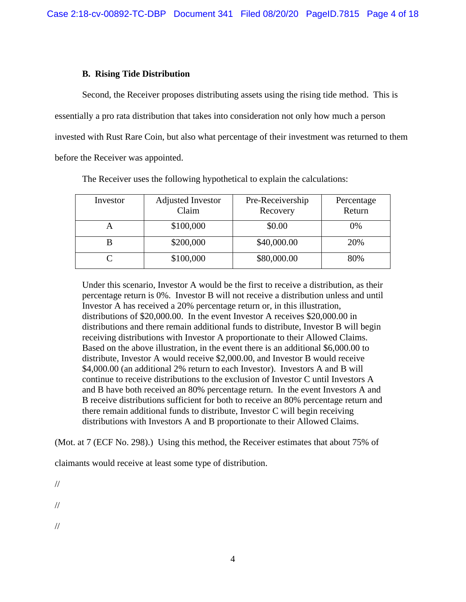## **B. Rising Tide Distribution**

 Second, the Receiver proposes distributing assets using the rising tide method. This is essentially a pro rata distribution that takes into consideration not only how much a person invested with Rust Rare Coin, but also what percentage of their investment was returned to them before the Receiver was appointed.

| Investor | Adjusted Investor<br>Claim | Pre-Receivership<br>Recovery | Percentage<br>Return |
|----------|----------------------------|------------------------------|----------------------|
|          | \$100,000                  | \$0.00                       | 0%                   |
| В        | \$200,000                  | \$40,000.00                  | 20%                  |
|          | \$100,000                  | \$80,000.00                  | 80%                  |

The Receiver uses the following hypothetical to explain the calculations:

Under this scenario, Investor A would be the first to receive a distribution, as their percentage return is 0%. Investor B will not receive a distribution unless and until Investor A has received a 20% percentage return or, in this illustration, distributions of \$20,000.00. In the event Investor A receives \$20,000.00 in distributions and there remain additional funds to distribute, Investor B will begin receiving distributions with Investor A proportionate to their Allowed Claims. Based on the above illustration, in the event there is an additional \$6,000.00 to distribute, Investor A would receive \$2,000.00, and Investor B would receive \$4,000.00 (an additional 2% return to each Investor). Investors A and B will continue to receive distributions to the exclusion of Investor C until Investors A and B have both received an 80% percentage return. In the event Investors A and B receive distributions sufficient for both to receive an 80% percentage return and there remain additional funds to distribute, Investor C will begin receiving distributions with Investors A and B proportionate to their Allowed Claims.

(Mot. at 7 (ECF No. 298).) Using this method, the Receiver estimates that about 75% of

claimants would receive at least some type of distribution.

//

//

//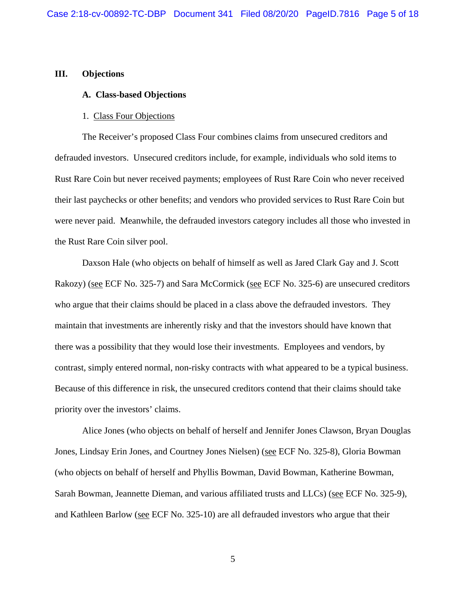### **III. Objections**

### **A. Class-based Objections**

#### 1. Class Four Objections

 The Receiver's proposed Class Four combines claims from unsecured creditors and defrauded investors. Unsecured creditors include, for example, individuals who sold items to Rust Rare Coin but never received payments; employees of Rust Rare Coin who never received their last paychecks or other benefits; and vendors who provided services to Rust Rare Coin but were never paid. Meanwhile, the defrauded investors category includes all those who invested in the Rust Rare Coin silver pool.

 Daxson Hale (who objects on behalf of himself as well as Jared Clark Gay and J. Scott Rakozy) (see ECF No. 325-7) and Sara McCormick (see ECF No. 325-6) are unsecured creditors who argue that their claims should be placed in a class above the defrauded investors. They maintain that investments are inherently risky and that the investors should have known that there was a possibility that they would lose their investments. Employees and vendors, by contrast, simply entered normal, non-risky contracts with what appeared to be a typical business. Because of this difference in risk, the unsecured creditors contend that their claims should take priority over the investors' claims.

 Alice Jones (who objects on behalf of herself and Jennifer Jones Clawson, Bryan Douglas Jones, Lindsay Erin Jones, and Courtney Jones Nielsen) (see ECF No. 325-8), Gloria Bowman (who objects on behalf of herself and Phyllis Bowman, David Bowman, Katherine Bowman, Sarah Bowman, Jeannette Dieman, and various affiliated trusts and LLCs) (see ECF No. 325-9), and Kathleen Barlow (see ECF No. 325-10) are all defrauded investors who argue that their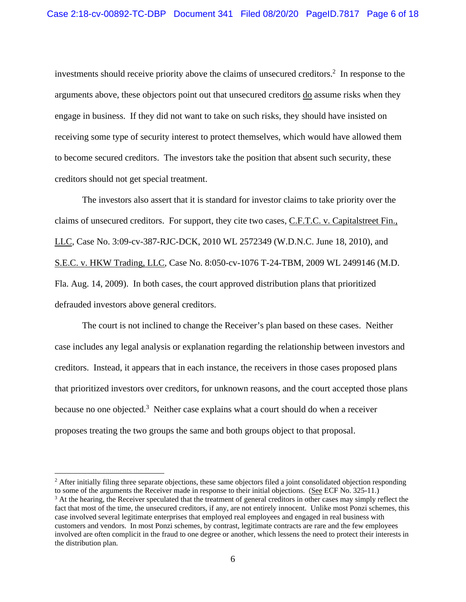investments should receive priority above the claims of unsecured creditors.<sup>2</sup> In response to the arguments above, these objectors point out that unsecured creditors <u>do</u> assume risks when they engage in business. If they did not want to take on such risks, they should have insisted on receiving some type of security interest to protect themselves, which would have allowed them to become secured creditors. The investors take the position that absent such security, these creditors should not get special treatment.

 The investors also assert that it is standard for investor claims to take priority over the claims of unsecured creditors. For support, they cite two cases, C.F.T.C. v. Capitalstreet Fin., LLC, Case No. 3:09-cv-387-RJC-DCK, 2010 WL 2572349 (W.D.N.C. June 18, 2010), and S.E.C. v. HKW Trading, LLC, Case No. 8:050-cv-1076 T-24-TBM, 2009 WL 2499146 (M.D. Fla. Aug. 14, 2009). In both cases, the court approved distribution plans that prioritized defrauded investors above general creditors.

 The court is not inclined to change the Receiver's plan based on these cases. Neither case includes any legal analysis or explanation regarding the relationship between investors and creditors. Instead, it appears that in each instance, the receivers in those cases proposed plans that prioritized investors over creditors, for unknown reasons, and the court accepted those plans because no one objected.<sup>3</sup> Neither case explains what a court should do when a receiver proposes treating the two groups the same and both groups object to that proposal.

<sup>&</sup>lt;sup>2</sup> After initially filing three separate objections, these same objectors filed a joint consolidated objection responding to some of the arguments the Receiver made in response to their initial objections. (See ECF No. 325-11.) <sup>3</sup> At the hearing, the Receiver speculated that the treatment of general creditors in other cases may simply reflect the fact that most of the time, the unsecured creditors, if any, are not entirely innocent. Unlike most Ponzi schemes, this case involved several legitimate enterprises that employed real employees and engaged in real business with customers and vendors. In most Ponzi schemes, by contrast, legitimate contracts are rare and the few employees involved are often complicit in the fraud to one degree or another, which lessens the need to protect their interests in the distribution plan.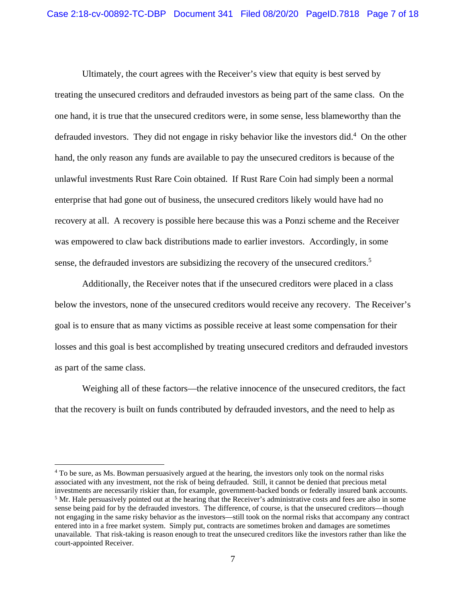Ultimately, the court agrees with the Receiver's view that equity is best served by treating the unsecured creditors and defrauded investors as being part of the same class. On the one hand, it is true that the unsecured creditors were, in some sense, less blameworthy than the defrauded investors. They did not engage in risky behavior like the investors did.<sup>4</sup> On the other hand, the only reason any funds are available to pay the unsecured creditors is because of the unlawful investments Rust Rare Coin obtained. If Rust Rare Coin had simply been a normal enterprise that had gone out of business, the unsecured creditors likely would have had no recovery at all. A recovery is possible here because this was a Ponzi scheme and the Receiver was empowered to claw back distributions made to earlier investors. Accordingly, in some sense, the defrauded investors are subsidizing the recovery of the unsecured creditors.<sup>5</sup>

 Additionally, the Receiver notes that if the unsecured creditors were placed in a class below the investors, none of the unsecured creditors would receive any recovery. The Receiver's goal is to ensure that as many victims as possible receive at least some compensation for their losses and this goal is best accomplished by treating unsecured creditors and defrauded investors as part of the same class.

 Weighing all of these factors—the relative innocence of the unsecured creditors, the fact that the recovery is built on funds contributed by defrauded investors, and the need to help as

<sup>&</sup>lt;sup>4</sup> To be sure, as Ms. Bowman persuasively argued at the hearing, the investors only took on the normal risks associated with any investment, not the risk of being defrauded. Still, it cannot be denied that precious metal investments are necessarily riskier than, for example, government-backed bonds or federally insured bank accounts. <sup>5</sup> Mr. Hale persuasively pointed out at the hearing that the Receiver's administrative costs and fees are also in some sense being paid for by the defrauded investors. The difference, of course, is that the unsecured creditors—though not engaging in the same risky behavior as the investors—still took on the normal risks that accompany any contract entered into in a free market system. Simply put, contracts are sometimes broken and damages are sometimes unavailable. That risk-taking is reason enough to treat the unsecured creditors like the investors rather than like the court-appointed Receiver.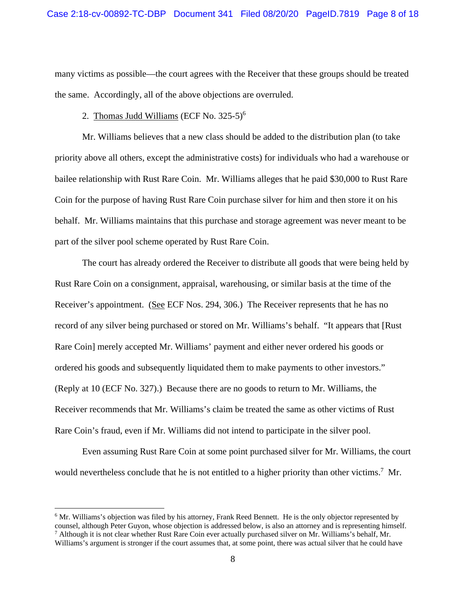many victims as possible—the court agrees with the Receiver that these groups should be treated the same. Accordingly, all of the above objections are overruled.

# 2. Thomas Judd Williams (ECF No.  $325-5$ )<sup>6</sup>

 Mr. Williams believes that a new class should be added to the distribution plan (to take priority above all others, except the administrative costs) for individuals who had a warehouse or bailee relationship with Rust Rare Coin. Mr. Williams alleges that he paid \$30,000 to Rust Rare Coin for the purpose of having Rust Rare Coin purchase silver for him and then store it on his behalf. Mr. Williams maintains that this purchase and storage agreement was never meant to be part of the silver pool scheme operated by Rust Rare Coin.

 The court has already ordered the Receiver to distribute all goods that were being held by Rust Rare Coin on a consignment, appraisal, warehousing, or similar basis at the time of the Receiver's appointment. (See ECF Nos. 294, 306.) The Receiver represents that he has no record of any silver being purchased or stored on Mr. Williams's behalf. "It appears that [Rust Rare Coin] merely accepted Mr. Williams' payment and either never ordered his goods or ordered his goods and subsequently liquidated them to make payments to other investors." (Reply at 10 (ECF No. 327).) Because there are no goods to return to Mr. Williams, the Receiver recommends that Mr. Williams's claim be treated the same as other victims of Rust Rare Coin's fraud, even if Mr. Williams did not intend to participate in the silver pool.

 Even assuming Rust Rare Coin at some point purchased silver for Mr. Williams, the court would nevertheless conclude that he is not entitled to a higher priority than other victims.<sup>7</sup> Mr.

<sup>&</sup>lt;sup>6</sup> Mr. Williams's objection was filed by his attorney, Frank Reed Bennett. He is the only objector represented by counsel, although Peter Guyon, whose objection is addressed below, is also an attorney and is representing himself. 7 Although it is not clear whether Rust Rare Coin ever actually purchased silver on Mr. Williams's behalf, Mr. Williams's argument is stronger if the court assumes that, at some point, there was actual silver that he could have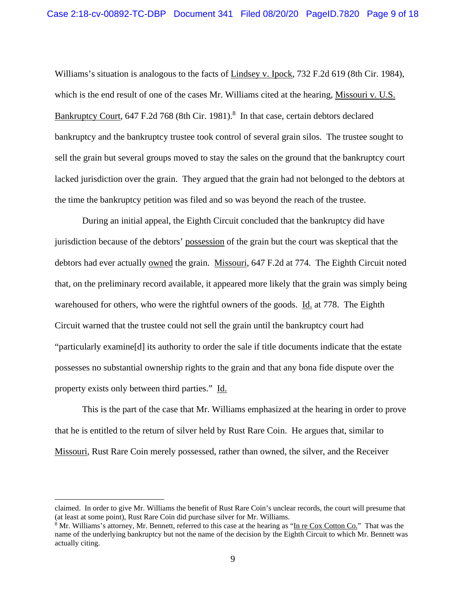Williams's situation is analogous to the facts of Lindsey v. Ipock, 732 F.2d 619 (8th Cir. 1984), which is the end result of one of the cases Mr. Williams cited at the hearing, Missouri v. U.S. Bankruptcy Court, 647 F.2d 768 (8th Cir. 1981).<sup>8</sup> In that case, certain debtors declared bankruptcy and the bankruptcy trustee took control of several grain silos. The trustee sought to sell the grain but several groups moved to stay the sales on the ground that the bankruptcy court lacked jurisdiction over the grain. They argued that the grain had not belonged to the debtors at the time the bankruptcy petition was filed and so was beyond the reach of the trustee.

 During an initial appeal, the Eighth Circuit concluded that the bankruptcy did have jurisdiction because of the debtors' possession of the grain but the court was skeptical that the debtors had ever actually owned the grain. Missouri, 647 F.2d at 774. The Eighth Circuit noted that, on the preliminary record available, it appeared more likely that the grain was simply being warehoused for others, who were the rightful owners of the goods. Id. at 778. The Eighth Circuit warned that the trustee could not sell the grain until the bankruptcy court had "particularly examine[d] its authority to order the sale if title documents indicate that the estate possesses no substantial ownership rights to the grain and that any bona fide dispute over the property exists only between third parties." Id.

 This is the part of the case that Mr. Williams emphasized at the hearing in order to prove that he is entitled to the return of silver held by Rust Rare Coin. He argues that, similar to Missouri, Rust Rare Coin merely possessed, rather than owned, the silver, and the Receiver

claimed. In order to give Mr. Williams the benefit of Rust Rare Coin's unclear records, the court will presume that (at least at some point), Rust Rare Coin did purchase silver for Mr. Williams.

<sup>&</sup>lt;sup>8</sup> Mr. Williams's attorney, Mr. Bennett, referred to this case at the hearing as "In re Cox Cotton Co." That was the name of the underlying bankruptcy but not the name of the decision by the Eighth Circuit to which Mr. Bennett was actually citing.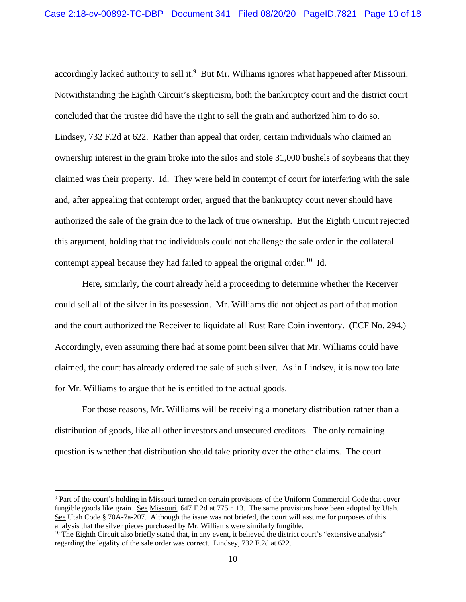accordingly lacked authority to sell it.<sup>9</sup> But Mr. Williams ignores what happened after Missouri. Notwithstanding the Eighth Circuit's skepticism, both the bankruptcy court and the district court concluded that the trustee did have the right to sell the grain and authorized him to do so. Lindsey, 732 F.2d at 622. Rather than appeal that order, certain individuals who claimed an ownership interest in the grain broke into the silos and stole 31,000 bushels of soybeans that they claimed was their property. Id. They were held in contempt of court for interfering with the sale and, after appealing that contempt order, argued that the bankruptcy court never should have authorized the sale of the grain due to the lack of true ownership. But the Eighth Circuit rejected this argument, holding that the individuals could not challenge the sale order in the collateral contempt appeal because they had failed to appeal the original order.<sup>10</sup> Id.

 Here, similarly, the court already held a proceeding to determine whether the Receiver could sell all of the silver in its possession. Mr. Williams did not object as part of that motion and the court authorized the Receiver to liquidate all Rust Rare Coin inventory. (ECF No. 294.) Accordingly, even assuming there had at some point been silver that Mr. Williams could have claimed, the court has already ordered the sale of such silver. As in Lindsey, it is now too late for Mr. Williams to argue that he is entitled to the actual goods.

 For those reasons, Mr. Williams will be receiving a monetary distribution rather than a distribution of goods, like all other investors and unsecured creditors. The only remaining question is whether that distribution should take priority over the other claims. The court

<sup>&</sup>lt;sup>9</sup> Part of the court's holding in Missouri turned on certain provisions of the Uniform Commercial Code that cover fungible goods like grain. See Missouri, 647 F.2d at 775 n.13. The same provisions have been adopted by Utah. See Utah Code § 70A-7a-207. Although the issue was not briefed, the court will assume for purposes of this analysis that the silver pieces purchased by Mr. Williams were similarly fungible.<br><sup>10</sup> The Eighth Circuit also briefly stated that, in any event, it believed the district court's "extensive analysis"

regarding the legality of the sale order was correct. Lindsey, 732 F.2d at 622.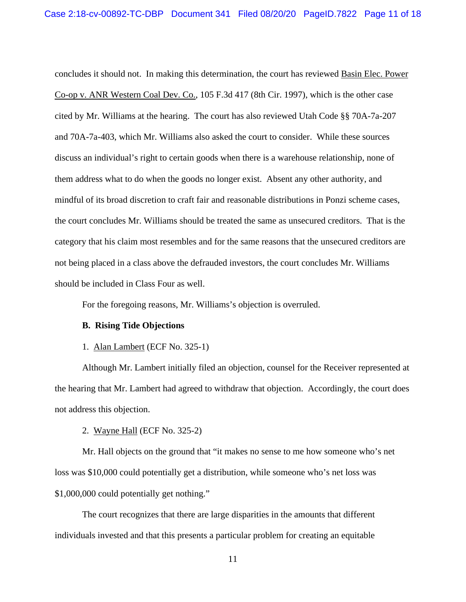concludes it should not. In making this determination, the court has reviewed Basin Elec. Power Co-op v. ANR Western Coal Dev. Co., 105 F.3d 417 (8th Cir. 1997), which is the other case cited by Mr. Williams at the hearing. The court has also reviewed Utah Code §§ 70A-7a-207 and 70A-7a-403, which Mr. Williams also asked the court to consider. While these sources discuss an individual's right to certain goods when there is a warehouse relationship, none of them address what to do when the goods no longer exist. Absent any other authority, and mindful of its broad discretion to craft fair and reasonable distributions in Ponzi scheme cases, the court concludes Mr. Williams should be treated the same as unsecured creditors. That is the category that his claim most resembles and for the same reasons that the unsecured creditors are not being placed in a class above the defrauded investors, the court concludes Mr. Williams should be included in Class Four as well.

For the foregoing reasons, Mr. Williams's objection is overruled.

# **B. Rising Tide Objections**

1. Alan Lambert (ECF No. 325-1)

 Although Mr. Lambert initially filed an objection, counsel for the Receiver represented at the hearing that Mr. Lambert had agreed to withdraw that objection. Accordingly, the court does not address this objection.

### 2. Wayne Hall (ECF No. 325-2)

 Mr. Hall objects on the ground that "it makes no sense to me how someone who's net loss was \$10,000 could potentially get a distribution, while someone who's net loss was \$1,000,000 could potentially get nothing."

 The court recognizes that there are large disparities in the amounts that different individuals invested and that this presents a particular problem for creating an equitable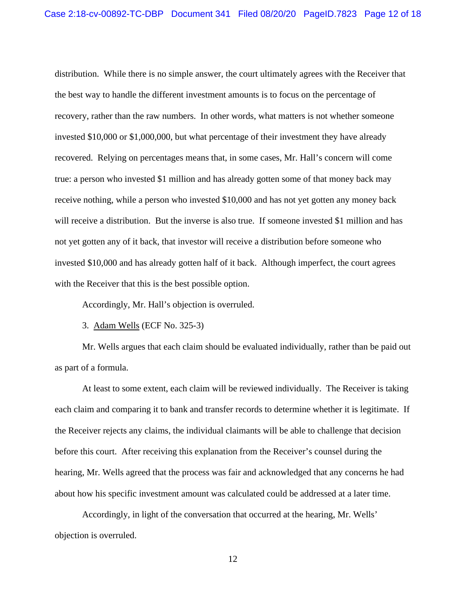distribution. While there is no simple answer, the court ultimately agrees with the Receiver that the best way to handle the different investment amounts is to focus on the percentage of recovery, rather than the raw numbers. In other words, what matters is not whether someone invested \$10,000 or \$1,000,000, but what percentage of their investment they have already recovered. Relying on percentages means that, in some cases, Mr. Hall's concern will come true: a person who invested \$1 million and has already gotten some of that money back may receive nothing, while a person who invested \$10,000 and has not yet gotten any money back will receive a distribution. But the inverse is also true. If someone invested \$1 million and has not yet gotten any of it back, that investor will receive a distribution before someone who invested \$10,000 and has already gotten half of it back. Although imperfect, the court agrees with the Receiver that this is the best possible option.

Accordingly, Mr. Hall's objection is overruled.

3. Adam Wells (ECF No. 325-3)

 Mr. Wells argues that each claim should be evaluated individually, rather than be paid out as part of a formula.

 At least to some extent, each claim will be reviewed individually. The Receiver is taking each claim and comparing it to bank and transfer records to determine whether it is legitimate. If the Receiver rejects any claims, the individual claimants will be able to challenge that decision before this court. After receiving this explanation from the Receiver's counsel during the hearing, Mr. Wells agreed that the process was fair and acknowledged that any concerns he had about how his specific investment amount was calculated could be addressed at a later time.

 Accordingly, in light of the conversation that occurred at the hearing, Mr. Wells' objection is overruled.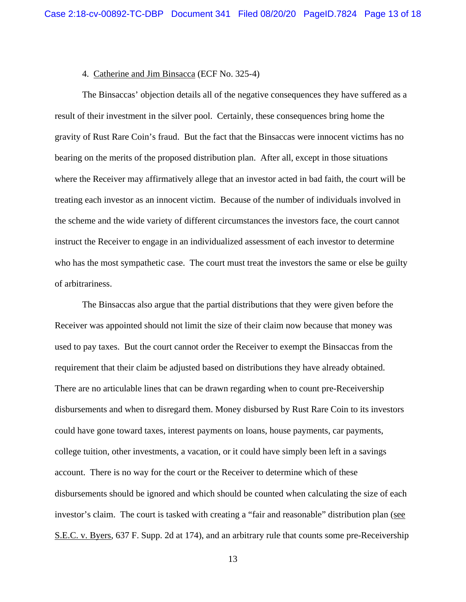#### 4. Catherine and Jim Binsacca (ECF No. 325-4)

 The Binsaccas' objection details all of the negative consequences they have suffered as a result of their investment in the silver pool. Certainly, these consequences bring home the gravity of Rust Rare Coin's fraud. But the fact that the Binsaccas were innocent victims has no bearing on the merits of the proposed distribution plan. After all, except in those situations where the Receiver may affirmatively allege that an investor acted in bad faith, the court will be treating each investor as an innocent victim. Because of the number of individuals involved in the scheme and the wide variety of different circumstances the investors face, the court cannot instruct the Receiver to engage in an individualized assessment of each investor to determine who has the most sympathetic case. The court must treat the investors the same or else be guilty of arbitrariness.

 The Binsaccas also argue that the partial distributions that they were given before the Receiver was appointed should not limit the size of their claim now because that money was used to pay taxes. But the court cannot order the Receiver to exempt the Binsaccas from the requirement that their claim be adjusted based on distributions they have already obtained. There are no articulable lines that can be drawn regarding when to count pre-Receivership disbursements and when to disregard them. Money disbursed by Rust Rare Coin to its investors could have gone toward taxes, interest payments on loans, house payments, car payments, college tuition, other investments, a vacation, or it could have simply been left in a savings account. There is no way for the court or the Receiver to determine which of these disbursements should be ignored and which should be counted when calculating the size of each investor's claim. The court is tasked with creating a "fair and reasonable" distribution plan (see S.E.C. v. Byers, 637 F. Supp. 2d at 174), and an arbitrary rule that counts some pre-Receivership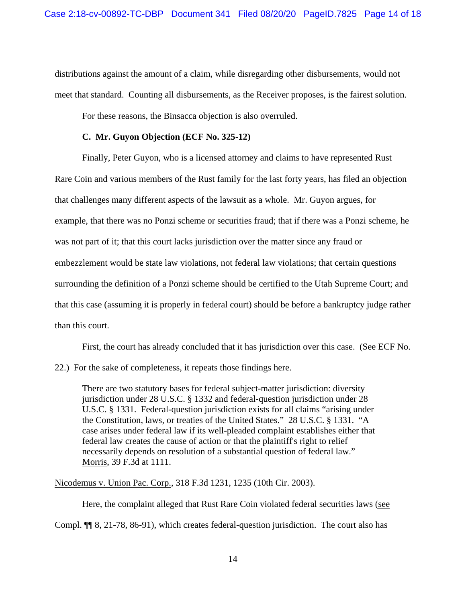distributions against the amount of a claim, while disregarding other disbursements, would not meet that standard. Counting all disbursements, as the Receiver proposes, is the fairest solution.

For these reasons, the Binsacca objection is also overruled.

# **C. Mr. Guyon Objection (ECF No. 325-12)**

 Finally, Peter Guyon, who is a licensed attorney and claims to have represented Rust Rare Coin and various members of the Rust family for the last forty years, has filed an objection that challenges many different aspects of the lawsuit as a whole. Mr. Guyon argues, for example, that there was no Ponzi scheme or securities fraud; that if there was a Ponzi scheme, he was not part of it; that this court lacks jurisdiction over the matter since any fraud or embezzlement would be state law violations, not federal law violations; that certain questions surrounding the definition of a Ponzi scheme should be certified to the Utah Supreme Court; and that this case (assuming it is properly in federal court) should be before a bankruptcy judge rather than this court.

First, the court has already concluded that it has jurisdiction over this case. (See ECF No.

22.) For the sake of completeness, it repeats those findings here.

There are two statutory bases for federal subject-matter jurisdiction: diversity jurisdiction under 28 U.S.C. § 1332 and federal-question jurisdiction under 28 U.S.C. § 1331. Federal-question jurisdiction exists for all claims "arising under the Constitution, laws, or treaties of the United States." 28 U.S.C. § 1331. "A case arises under federal law if its well-pleaded complaint establishes either that federal law creates the cause of action or that the plaintiff's right to relief necessarily depends on resolution of a substantial question of federal law." Morris, 39 F.3d at 1111.

Nicodemus v. Union Pac. Corp., 318 F.3d 1231, 1235 (10th Cir. 2003).

Here, the complaint alleged that Rust Rare Coin violated federal securities laws (see

Compl. ¶¶ 8, 21-78, 86-91), which creates federal-question jurisdiction. The court also has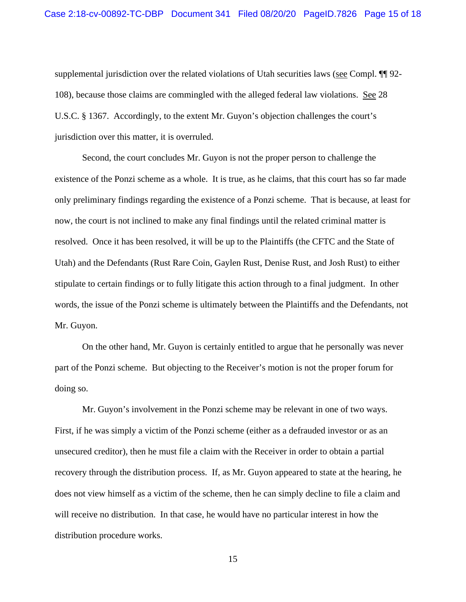supplemental jurisdiction over the related violations of Utah securities laws (see Compl. ¶¶ 92- 108), because those claims are commingled with the alleged federal law violations. See 28 U.S.C. § 1367. Accordingly, to the extent Mr. Guyon's objection challenges the court's jurisdiction over this matter, it is overruled.

 Second, the court concludes Mr. Guyon is not the proper person to challenge the existence of the Ponzi scheme as a whole. It is true, as he claims, that this court has so far made only preliminary findings regarding the existence of a Ponzi scheme. That is because, at least for now, the court is not inclined to make any final findings until the related criminal matter is resolved. Once it has been resolved, it will be up to the Plaintiffs (the CFTC and the State of Utah) and the Defendants (Rust Rare Coin, Gaylen Rust, Denise Rust, and Josh Rust) to either stipulate to certain findings or to fully litigate this action through to a final judgment. In other words, the issue of the Ponzi scheme is ultimately between the Plaintiffs and the Defendants, not Mr. Guyon.

 On the other hand, Mr. Guyon is certainly entitled to argue that he personally was never part of the Ponzi scheme. But objecting to the Receiver's motion is not the proper forum for doing so.

 Mr. Guyon's involvement in the Ponzi scheme may be relevant in one of two ways. First, if he was simply a victim of the Ponzi scheme (either as a defrauded investor or as an unsecured creditor), then he must file a claim with the Receiver in order to obtain a partial recovery through the distribution process. If, as Mr. Guyon appeared to state at the hearing, he does not view himself as a victim of the scheme, then he can simply decline to file a claim and will receive no distribution. In that case, he would have no particular interest in how the distribution procedure works.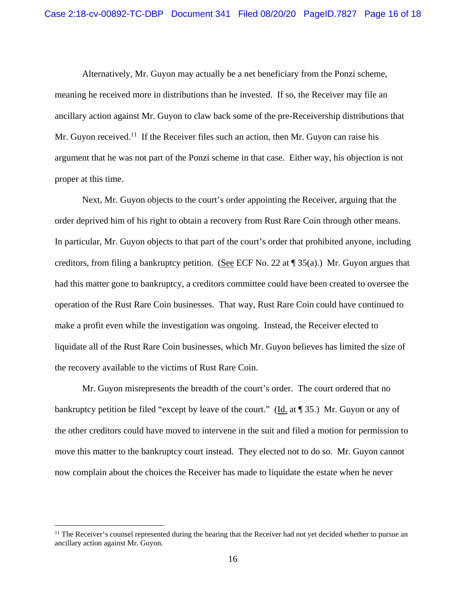Alternatively, Mr. Guyon may actually be a net beneficiary from the Ponzi scheme, meaning he received more in distributions than he invested. If so, the Receiver may file an ancillary action against Mr. Guyon to claw back some of the pre-Receivership distributions that Mr. Guyon received.<sup>11</sup> If the Receiver files such an action, then Mr. Guyon can raise his argument that he was not part of the Ponzi scheme in that case. Either way, his objection is not proper at this time.

 Next, Mr. Guyon objects to the court's order appointing the Receiver, arguing that the order deprived him of his right to obtain a recovery from Rust Rare Coin through other means. In particular, Mr. Guyon objects to that part of the court's order that prohibited anyone, including creditors, from filing a bankruptcy petition. (See ECF No. 22 at  $\P$  35(a).) Mr. Guyon argues that had this matter gone to bankruptcy, a creditors committee could have been created to oversee the operation of the Rust Rare Coin businesses. That way, Rust Rare Coin could have continued to make a profit even while the investigation was ongoing. Instead, the Receiver elected to liquidate all of the Rust Rare Coin businesses, which Mr. Guyon believes has limited the size of the recovery available to the victims of Rust Rare Coin.

 Mr. Guyon misrepresents the breadth of the court's order. The court ordered that no bankruptcy petition be filed "except by leave of the court." (Id. at ¶ 35.) Mr. Guyon or any of the other creditors could have moved to intervene in the suit and filed a motion for permission to move this matter to the bankruptcy court instead. They elected not to do so. Mr. Guyon cannot now complain about the choices the Receiver has made to liquidate the estate when he never

 $<sup>11</sup>$  The Receiver's counsel represented during the hearing that the Receiver had not yet decided whether to pursue an</sup> ancillary action against Mr. Guyon.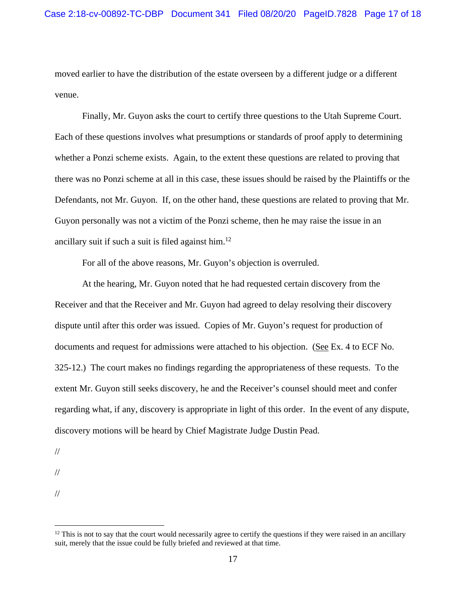moved earlier to have the distribution of the estate overseen by a different judge or a different venue.

 Finally, Mr. Guyon asks the court to certify three questions to the Utah Supreme Court. Each of these questions involves what presumptions or standards of proof apply to determining whether a Ponzi scheme exists. Again, to the extent these questions are related to proving that there was no Ponzi scheme at all in this case, these issues should be raised by the Plaintiffs or the Defendants, not Mr. Guyon. If, on the other hand, these questions are related to proving that Mr. Guyon personally was not a victim of the Ponzi scheme, then he may raise the issue in an ancillary suit if such a suit is filed against him.<sup>12</sup>

For all of the above reasons, Mr. Guyon's objection is overruled.

 At the hearing, Mr. Guyon noted that he had requested certain discovery from the Receiver and that the Receiver and Mr. Guyon had agreed to delay resolving their discovery dispute until after this order was issued. Copies of Mr. Guyon's request for production of documents and request for admissions were attached to his objection. (See Ex. 4 to ECF No. 325-12.) The court makes no findings regarding the appropriateness of these requests. To the extent Mr. Guyon still seeks discovery, he and the Receiver's counsel should meet and confer regarding what, if any, discovery is appropriate in light of this order. In the event of any dispute, discovery motions will be heard by Chief Magistrate Judge Dustin Pead.

//

//

//

 $12$  This is not to say that the court would necessarily agree to certify the questions if they were raised in an ancillary suit, merely that the issue could be fully briefed and reviewed at that time.